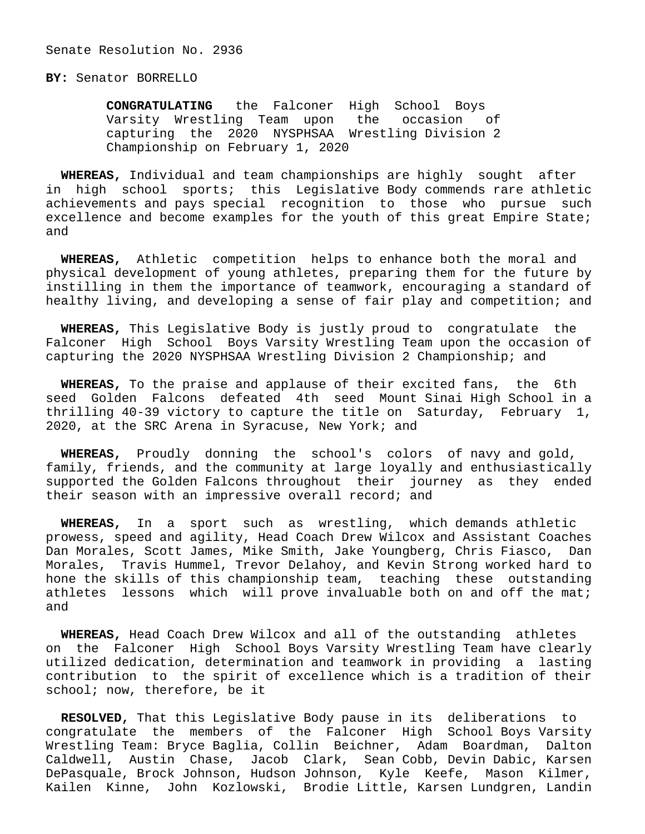## **BY:** Senator BORRELLO

 **CONGRATULATING** the Falconer High School Boys Varsity Wrestling Team upon the occasion of capturing the 2020 NYSPHSAA Wrestling Division 2 Championship on February 1, 2020

 **WHEREAS,** Individual and team championships are highly sought after in high school sports; this Legislative Body commends rare athletic achievements and pays special recognition to those who pursue such excellence and become examples for the youth of this great Empire State; and

 **WHEREAS,** Athletic competition helps to enhance both the moral and physical development of young athletes, preparing them for the future by instilling in them the importance of teamwork, encouraging a standard of healthy living, and developing a sense of fair play and competition; and

 **WHEREAS,** This Legislative Body is justly proud to congratulate the Falconer High School Boys Varsity Wrestling Team upon the occasion of capturing the 2020 NYSPHSAA Wrestling Division 2 Championship; and

 **WHEREAS,** To the praise and applause of their excited fans, the 6th seed Golden Falcons defeated 4th seed Mount Sinai High School in a thrilling 40-39 victory to capture the title on Saturday, February 1, 2020, at the SRC Arena in Syracuse, New York; and

 **WHEREAS,** Proudly donning the school's colors of navy and gold, family, friends, and the community at large loyally and enthusiastically supported the Golden Falcons throughout their journey as they ended their season with an impressive overall record; and

 **WHEREAS,** In a sport such as wrestling, which demands athletic prowess, speed and agility, Head Coach Drew Wilcox and Assistant Coaches Dan Morales, Scott James, Mike Smith, Jake Youngberg, Chris Fiasco, Dan Morales, Travis Hummel, Trevor Delahoy, and Kevin Strong worked hard to hone the skills of this championship team, teaching these outstanding athletes lessons which will prove invaluable both on and off the mat; and

 **WHEREAS,** Head Coach Drew Wilcox and all of the outstanding athletes on the Falconer High School Boys Varsity Wrestling Team have clearly utilized dedication, determination and teamwork in providing a lasting contribution to the spirit of excellence which is a tradition of their school; now, therefore, be it

 **RESOLVED,** That this Legislative Body pause in its deliberations to congratulate the members of the Falconer High School Boys Varsity Wrestling Team: Bryce Baglia, Collin Beichner, Adam Boardman, Dalton Caldwell, Austin Chase, Jacob Clark, Sean Cobb, Devin Dabic, Karsen DePasquale, Brock Johnson, Hudson Johnson, Kyle Keefe, Mason Kilmer, Kailen Kinne, John Kozlowski, Brodie Little, Karsen Lundgren, Landin